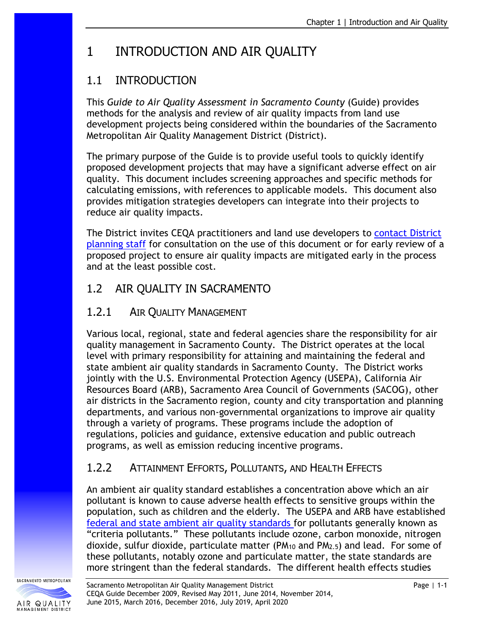# 1 INTRODUCTION AND AIR QUALITY

# 1.1 INTRODUCTION

This *Guide to Air Quality Assessment in Sacramento County* (Guide) provides methods for the analysis and review of air quality impacts from land use development projects being considered within the boundaries of the Sacramento Metropolitan Air Quality Management District (District).

The primary purpose of the Guide is to provide useful tools to quickly identify proposed development projects that may have a significant adverse effect on air quality. This document includes screening approaches and specific methods for calculating emissions, with references to applicable models. This document also provides mitigation strategies developers can integrate into their projects to reduce air quality impacts.

The District invites CEQA practitioners and land use developers to [contact District](http://www.airquality.org/Businesses/CEQA-Land-Use-Planning/CEQA-Guidance-Tools) [planning staff](http://www.airquality.org/Businesses/CEQA-Land-Use-Planning/CEQA-Guidance-Tools) for consultation on the use of this document or for early review of a proposed project to ensure air quality impacts are mitigated early in the process and at the least possible cost.

## 1.2 AIR QUALITY IN SACRAMENTO

### 1.2.1 AIR QUALITY MANAGEMENT

Various local, regional, state and federal agencies share the responsibility for air quality management in Sacramento County. The District operates at the local level with primary responsibility for attaining and maintaining the federal and state ambient air quality standards in Sacramento County. The District works jointly with the U.S. Environmental Protection Agency (USEPA), California Air Resources Board (ARB), Sacramento Area Council of Governments (SACOG), other air districts in the Sacramento region, county and city transportation and planning departments, and various non-governmental organizations to improve air quality through a variety of programs. These programs include the adoption of regulations, policies and guidance, extensive education and public outreach programs, as well as emission reducing incentive programs.

# 1.2.2 ATTAINMENT EFFORTS, POLLUTANTS, AND HEALTH EFFECTS

An ambient air quality standard establishes a concentration above which an air pollutant is known to cause adverse health effects to sensitive groups within the population, such as children and the elderly. The USEPA and ARB have established federal [and state ambient air quality standards f](http://www.arb.ca.gov/research/aaqs/aaqs2.pdf)or pollutants generally known as "criteria pollutants." These pollutants include ozone, carbon monoxide, nitrogen dioxide, sulfur dioxide, particulate matter ( $PM_{10}$  and  $PM_{2.5}$ ) and lead. For some of these pollutants, notably ozone and particulate matter, the state standards are more stringent than the federal standards. The different health effects studies

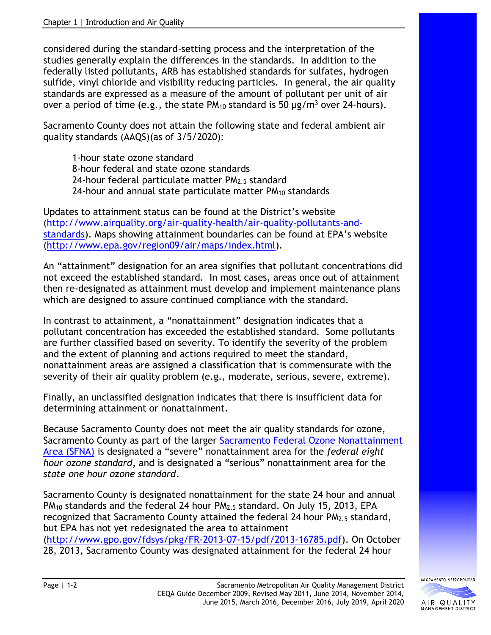considered during the standard-setting process and the interpretation of the studies generally explain the differences in the standards. In addition to the federally listed pollutants, ARB has established standards for sulfates, hydrogen sulfide, vinyl chloride and visibility reducing particles. In general, the air quality standards are expressed as a measure of the amount of pollutant per unit of air over a period of time (e.g., the state  $PM_{10}$  standard is 50  $\mu$ g/m<sup>3</sup> over 24-hours).

Sacramento County does not attain the following state and federal ambient air quality standards (AAQS)(as of 3/5/2020):

1-hour state ozone standard 8-hour federal and state ozone standards 24-hour federal particulate matter PM<sub>2.5</sub> standard 24-hour and annual state particulate matter PM<sub>10</sub> standards

Updates to attainment status can be found at the District's website [\(http://www.airquality.org/air-quality-health/air-quality-pollutants-and](http://www.airquality.org/air-quality-health/air-quality-pollutants-and-standards)[standards\)](http://www.airquality.org/air-quality-health/air-quality-pollutants-and-standards). Maps showing attainment boundaries can be found at EPA's website [\(http://www.epa.gov/region09/air/maps/index.html\)](http://www.epa.gov/region09/air/maps/index.html).

An "attainment" designation for an area signifies that pollutant concentrations did not exceed the established standard. In most cases, areas once out of attainment then re-designated as attainment must develop and implement maintenance plans which are designed to assure continued compliance with the standard.

In contrast to attainment, a "nonattainment" designation indicates that a pollutant concentration has exceeded the established standard. Some pollutants are further classified based on severity. To identify the severity of the problem and the extent of planning and actions required to meet the standard, nonattainment areas are assigned a classification that is commensurate with the severity of their air quality problem (e.g., moderate, serious, severe, extreme).

Finally, an unclassified designation indicates that there is insufficient data for determining attainment or nonattainment.

Because Sacramento County does not meet the air quality standards for ozone, Sacramento County as part of the larger [Sacramento Federal Ozone Nonattainment](http://www.airquality.org/air-quality-health/air-quality-plans)  [Area \(SFNA\)](http://www.airquality.org/air-quality-health/air-quality-plans) is designated a "severe" nonattainment area for the *federal eight hour ozone standard*, and is designated a "serious" nonattainment area for the *state one hour ozone standard*.

Sacramento County is designated nonattainment for the state 24 hour and annual PM<sub>10</sub> standards and the federal 24 hour PM<sub>2.5</sub> standard. On July 15, 2013, EPA recognized that Sacramento County attained the federal 24 hour PM2.5 standard, but EPA has not yet redesignated the area to attainment [\(http://www.gpo.gov/fdsys/pkg/FR-2013-07-15/pdf/2013-16785.pdf\)](http://www.gpo.gov/fdsys/pkg/FR-2013-07-15/pdf/2013-16785.pdf). On October 28, 2013, Sacramento County was designated attainment for the federal 24 hour

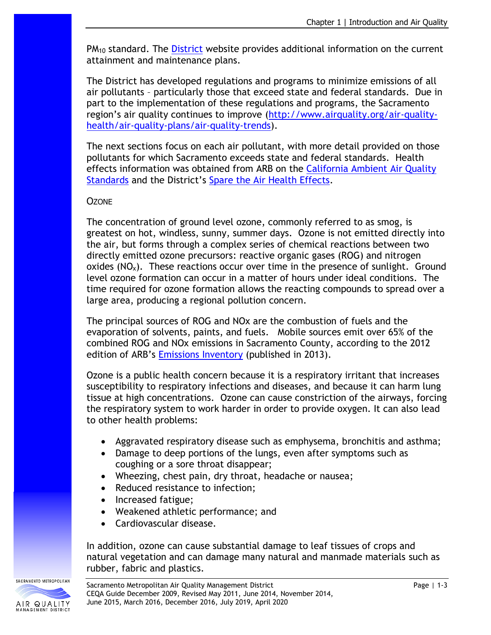PM<sub>10</sub> standard. The [District](http://www.airquality.org/air-quality-health/air-quality-plans) website provides additional information on the current attainment and maintenance plans.

The District has developed regulations and programs to minimize emissions of all air pollutants – particularly those that exceed state and federal standards. Due in part to the implementation of these regulations and programs, the Sacramento region's air quality continues to improve [\(http://www.airquality.org/air-quality](http://www.airquality.org/air-quality-health/air-quality-plans/air-quality-trends)[health/air-quality-plans/air-quality-trends\)](http://www.airquality.org/air-quality-health/air-quality-plans/air-quality-trends).

The next sections focus on each air pollutant, with more detail provided on those pollutants for which Sacramento exceeds state and federal standards. Health effects information was obtained from ARB on the California Ambient Air Quality [Standards](http://www.arb.ca.gov/research/aaqs/caaqs/caaqs.htm) and the District's [Spare the Air Health Effects.](http://www.sparetheair.com/health.cfm?page=healthoverall)

#### **OZONE**

The concentration of ground level ozone, commonly referred to as smog, is greatest on hot, windless, sunny, summer days. Ozone is not emitted directly into the air, but forms through a complex series of chemical reactions between two directly emitted ozone precursors: reactive organic gases (ROG) and nitrogen oxides  $(NO_x)$ . These reactions occur over time in the presence of sunlight. Ground level ozone formation can occur in a matter of hours under ideal conditions. The time required for ozone formation allows the reacting compounds to spread over a large area, producing a regional pollution concern.

The principal sources of ROG and NOx are the combustion of fuels and the evaporation of solvents, paints, and fuels. Mobile sources emit over 65% of the combined ROG and NOx emissions in Sacramento County, according to the 2012 edition of ARB's [Emissions](http://www.arb.ca.gov/ei/emissiondata.htm) Inventory (published in 2013).

Ozone is a public health concern because it is a respiratory irritant that increases susceptibility to respiratory infections and diseases, and because it can harm lung tissue at high concentrations. Ozone can cause constriction of the airways, forcing the respiratory system to work harder in order to provide oxygen. It can also lead to other health problems:

- Aggravated respiratory disease such as emphysema, bronchitis and asthma;
- Damage to deep portions of the lungs, even after symptoms such as coughing or a sore throat disappear;
- Wheezing, chest pain, dry throat, headache or nausea;
- Reduced resistance to infection;
- Increased fatigue;
- Weakened athletic performance; and
- Cardiovascular disease.

In addition, ozone can cause substantial damage to leaf tissues of crops and natural vegetation and can damage many natural and manmade materials such as rubber, fabric and plastics.

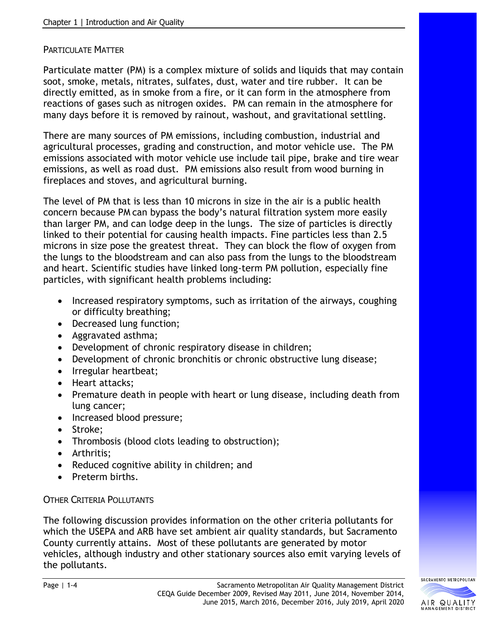#### PARTICULATE MATTER

Particulate matter (PM) is a complex mixture of solids and liquids that may contain soot, smoke, metals, nitrates, sulfates, dust, water and tire rubber. It can be directly emitted, as in smoke from a fire, or it can form in the atmosphere from reactions of gases such as nitrogen oxides. PM can remain in the atmosphere for many days before it is removed by rainout, washout, and gravitational settling.

There are many sources of PM emissions, including combustion, industrial and agricultural processes, grading and construction, and motor vehicle use. The PM emissions associated with motor vehicle use include tail pipe, brake and tire wear emissions, as well as road dust. PM emissions also result from wood burning in fireplaces and stoves, and agricultural burning.

The level of PM that is less than 10 microns in size in the air is a public health concern because PM can bypass the body's natural filtration system more easily than larger PM, and can lodge deep in the lungs. The size of particles is directly linked to their potential for causing health impacts. Fine particles less than 2.5 microns in size pose the greatest threat. They can block the flow of oxygen from the lungs to the bloodstream and can also pass from the lungs to the bloodstream and heart. Scientific studies have linked long-term PM pollution, especially fine particles, with significant health problems including:

- Increased respiratory symptoms, such as irritation of the airways, coughing or difficulty breathing;
- Decreased lung function;
- Aggravated asthma;
- Development of chronic respiratory disease in children;
- Development of chronic bronchitis or chronic obstructive lung disease;
- Irregular heartbeat;
- Heart attacks;
- Premature death in people with heart or lung disease, including death from lung cancer;
- Increased blood pressure;
- Stroke;
- Thrombosis (blood clots leading to obstruction);
- Arthritis;
- Reduced cognitive ability in children; and
- Preterm births.

#### OTHER CRITERIA POLLUTANTS

The following discussion provides information on the other criteria pollutants for which the USEPA and ARB have set ambient air quality standards, but Sacramento County currently attains. Most of these pollutants are generated by motor vehicles, although industry and other stationary sources also emit varying levels of the pollutants.

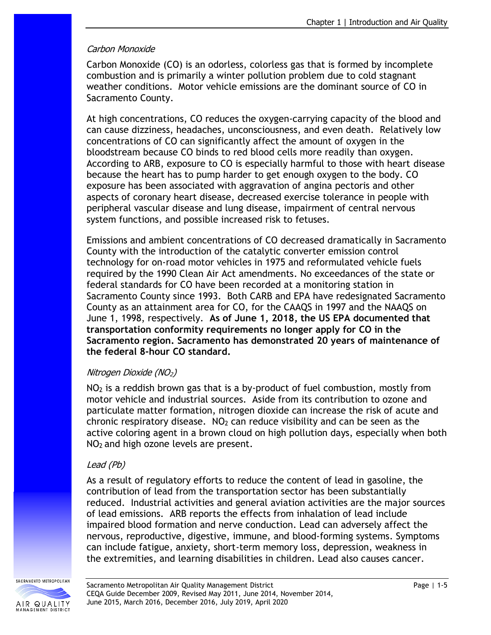#### Carbon Monoxide

Carbon Monoxide (CO) is an odorless, colorless gas that is formed by incomplete combustion and is primarily a winter pollution problem due to cold stagnant weather conditions. Motor vehicle emissions are the dominant source of CO in Sacramento County.

At high concentrations, CO reduces the oxygen-carrying capacity of the blood and can cause dizziness, headaches, unconsciousness, and even death. Relatively low concentrations of CO can significantly affect the amount of oxygen in the bloodstream because CO binds to red blood cells more readily than oxygen. According to ARB, exposure to CO is especially harmful to those with heart disease because the heart has to pump harder to get enough oxygen to the body. CO exposure has been associated with aggravation of angina pectoris and other aspects of coronary heart disease, decreased exercise tolerance in people with peripheral vascular disease and lung disease, impairment of central nervous system functions, and possible increased risk to fetuses.

Emissions and ambient concentrations of CO decreased dramatically in Sacramento County with the introduction of the catalytic converter emission control technology for on-road motor vehicles in 1975 and reformulated vehicle fuels required by the 1990 Clean Air Act amendments. No exceedances of the state or federal standards for CO have been recorded at a monitoring station in Sacramento County since 1993. Both CARB and EPA have redesignated Sacramento County as an attainment area for CO, for the CAAQS in 1997 and the NAAQS on June 1, 1998, respectively. **As of June 1, 2018, the US EPA documented that transportation conformity requirements no longer apply for CO in the Sacramento region. Sacramento has demonstrated 20 years of maintenance of the federal 8-hour CO standard.**

#### Nitrogen Dioxide (NO2)

 $NO<sub>2</sub>$  is a reddish brown gas that is a by-product of fuel combustion, mostly from motor vehicle and industrial sources. Aside from its contribution to ozone and particulate matter formation, nitrogen dioxide can increase the risk of acute and chronic respiratory disease.  $NO<sub>2</sub>$  can reduce visibility and can be seen as the active coloring agent in a brown cloud on high pollution days, especially when both  $NO<sub>2</sub>$  and high ozone levels are present.

#### Lead (Pb)

As a result of regulatory efforts to reduce the content of lead in gasoline, the contribution of lead from the transportation sector has been substantially reduced. Industrial activities and general aviation activities are the major sources of lead emissions. ARB reports the effects from inhalation of lead include impaired blood formation and nerve conduction. Lead can adversely affect the nervous, reproductive, digestive, immune, and blood-forming systems. Symptoms can include fatigue, anxiety, short-term memory loss, depression, weakness in the extremities, and learning disabilities in children. Lead also causes cancer.

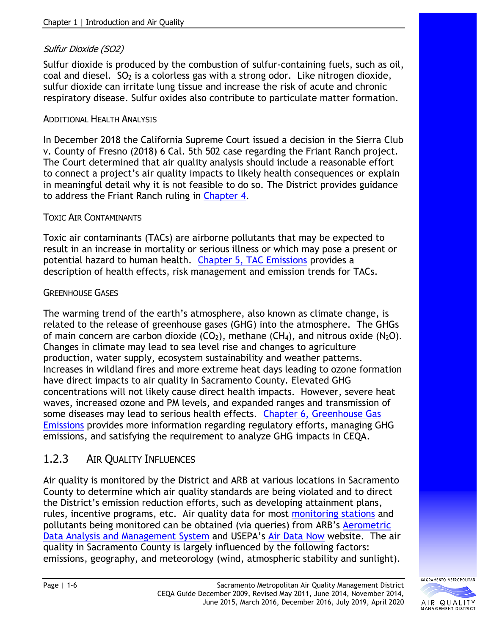### Sulfur Dioxide (SO2)

Sulfur dioxide is produced by the combustion of sulfur-containing fuels, such as oil,  $\alpha$  coal and diesel.  $SO<sub>2</sub>$  is a colorless gas with a strong odor. Like nitrogen dioxide, sulfur dioxide can irritate lung tissue and increase the risk of acute and chronic respiratory disease. Sulfur oxides also contribute to particulate matter formation.

#### ADDITIONAL HEALTH ANALYSIS

In December 2018 the California Supreme Court issued a decision in the Sierra Club v. County of Fresno (2018) 6 Cal. 5th 502 case regarding the Friant Ranch project. The Court determined that air quality analysis should include a reasonable effort to connect a project's air quality impacts to likely health consequences or explain in meaningful detail why it is not feasible to do so. The District provides guidance to address the Friant Ranch ruling in [Chapter 4.](http://www.airquality.org/Businesses/CEQA-Land-Use-Planning/CEQA-Guidance-Tools)

#### TOXIC AIR CONTAMINANTS

Toxic air contaminants (TACs) are airborne pollutants that may be expected to result in an increase in mortality or serious illness or which may pose a present or potential hazard to human health. [Chapter 5, TAC Emissions](http://www.airquality.org/Businesses/CEQA-Land-Use-Planning/CEQA-Guidance-Tools) provides a description of health effects, risk management and emission trends for TACs.

#### GREENHOUSE GASES

The warming trend of the earth's atmosphere, also known as climate change, is related to the release of greenhouse gases (GHG) into the atmosphere. The GHGs of main concern are carbon dioxide  $(CO_2)$ , methane  $(CH_4)$ , and nitrous oxide  $(N_2O)$ . Changes in climate may lead to sea level rise and changes to agriculture production, water supply, ecosystem sustainability and weather patterns. Increases in wildland fires and more extreme heat days leading to ozone formation have direct impacts to air quality in Sacramento County. Elevated GHG concentrations will not likely cause direct health impacts. However, severe heat waves, increased ozone and PM levels, and expanded ranges and transmission of some diseases may lead to serious health effects. [Chapter 6, Greenhouse Gas](http://www.airquality.org/Businesses/CEQA-Land-Use-Planning/CEQA-Guidance-Tools)  [Emissions](http://www.airquality.org/Businesses/CEQA-Land-Use-Planning/CEQA-Guidance-Tools) provides more information regarding regulatory efforts, managing GHG emissions, and satisfying the requirement to analyze GHG impacts in CEQA.

### 1.2.3 AIR QUALITY INFLUENCES

Air quality is monitored by the District and ARB at various locations in Sacramento County to determine which air quality standards are being violated and to direct the District's emission reduction efforts, such as developing attainment plans, rules, incentive programs, etc. Air quality data for most [monitoring stations](http://www.airquality.org/Businesses/CEQA-Land-Use-Planning/CEQA-Guidance-Tools) and pollutants being monitored can be obtained (via queries) from ARB's [Aerometric](http://www.arb.ca.gov/adam/welcome.html)  [Data Analysis and Management](http://www.arb.ca.gov/adam/welcome.html) System and USEPA's Air [Data Now](https://www.epa.gov/outdoor-air-quality-data) website. The air quality in Sacramento County is largely influenced by the following factors: emissions, geography, and meteorology (wind, atmospheric stability and sunlight).

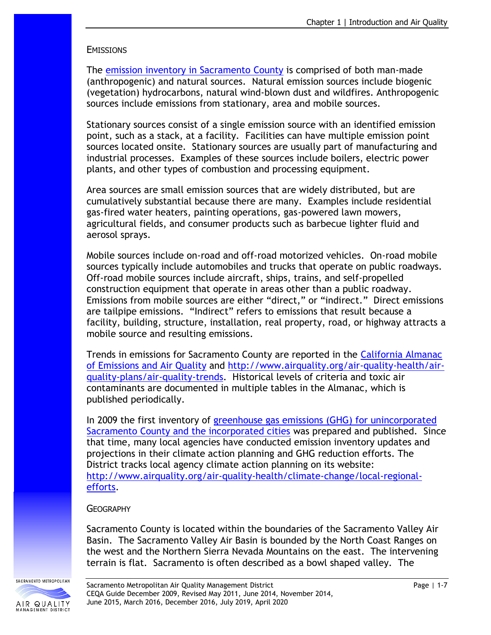#### **EMISSIONS**

The [emission inventory in Sacramento County](http://www.arb.ca.gov/ei/emissiondata.htm) is comprised of both man-made (anthropogenic) and natural sources. Natural emission sources include biogenic (vegetation) hydrocarbons, natural wind-blown dust and wildfires. Anthropogenic sources include emissions from stationary, area and mobile sources.

Stationary sources consist of a single emission source with an identified emission point, such as a stack, at a facility. Facilities can have multiple emission point sources located onsite. Stationary sources are usually part of manufacturing and industrial processes. Examples of these sources include boilers, electric power plants, and other types of combustion and processing equipment.

Area sources are small emission sources that are widely distributed, but are cumulatively substantial because there are many. Examples include residential gas-fired water heaters, painting operations, gas-powered lawn mowers, agricultural fields, and consumer products such as barbecue lighter fluid and aerosol sprays.

Mobile sources include on-road and off-road motorized vehicles. On-road mobile sources typically include automobiles and trucks that operate on public roadways. Off-road mobile sources include aircraft, ships, trains, and self-propelled construction equipment that operate in areas other than a public roadway. Emissions from mobile sources are either "direct," or "indirect." Direct emissions are tailpipe emissions. "Indirect" refers to emissions that result because a facility, building, structure, installation, real property, road, or highway attracts a mobile source and resulting emissions.

Trends in emissions for Sacramento County are reported in the [California Almanac](http://www.arb.ca.gov/aqd/almanac/almanac.htm)  [of Emissions and Air Quality](http://www.arb.ca.gov/aqd/almanac/almanac.htm) and [http://www.airquality.org/air-quality-health/air](http://www.airquality.org/air-quality-health/air-quality-plans/air-quality-trends)[quality-plans/air-quality-trends.](http://www.airquality.org/air-quality-health/air-quality-plans/air-quality-trends) Historical levels of criteria and toxic air contaminants are documented in multiple tables in the Almanac, which is published periodically.

In 2009 the first inventory of [greenhouse gas emissions \(GHG\) for unincorporated](http://www.green.saccounty.net/Documents/Final_SACCTY_GHG_June09_stacked_small.pdf)  [Sacramento County and the incorporated cities](http://www.green.saccounty.net/Documents/Final_SACCTY_GHG_June09_stacked_small.pdf) was prepared and published. Since that time, many local agencies have conducted emission inventory updates and projections in their climate action planning and GHG reduction efforts. The District tracks local agency climate action planning on its website: [http://www.airquality.org/air-quality-health/climate-change/local-regional](http://www.airquality.org/air-quality-health/climate-change/local-regional-efforts)[efforts.](http://www.airquality.org/air-quality-health/climate-change/local-regional-efforts)

#### **GEOGRAPHY**

Sacramento County is located within the boundaries of the Sacramento Valley Air Basin. The Sacramento Valley Air Basin is bounded by the North Coast Ranges on the west and the Northern Sierra Nevada Mountains on the east. The intervening terrain is flat. Sacramento is often described as a bowl shaped valley. The